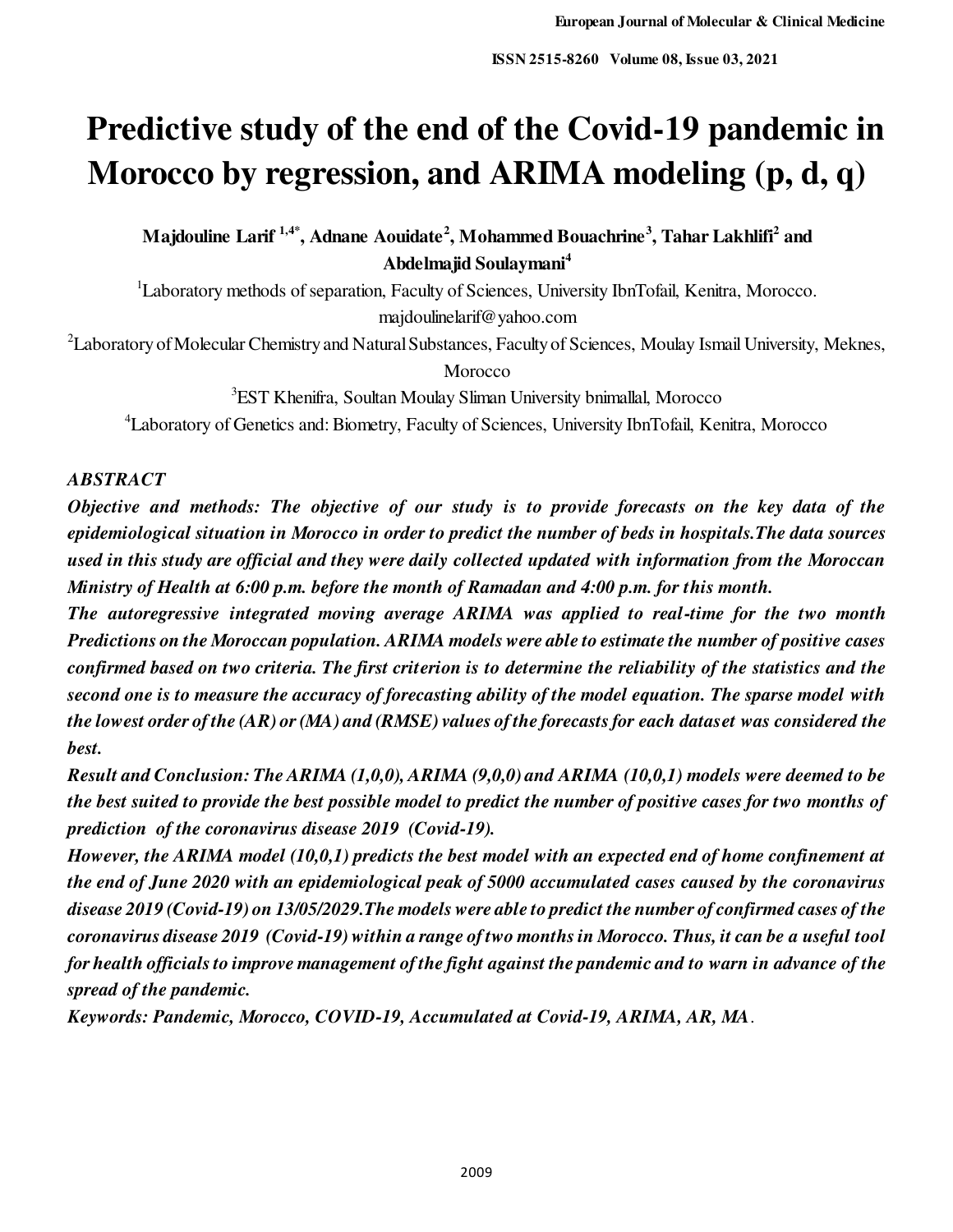# **Predictive study of the end of the Covid-19 pandemic in Morocco by regression, and ARIMA modeling (p, d, q)**

**Majdouline Larif 1,4\*, Adnane Aouidate<sup>2</sup> , Mohammed Bouachrine<sup>3</sup> , Tahar Lakhlifi<sup>2</sup> and Abdelmajid Soulaymani<sup>4</sup>**

<sup>1</sup>Laboratory methods of separation, Faculty of Sciences, University IbnTofail, Kenitra, Morocco. majdoulinelarif@yahoo.com

<sup>2</sup>Laboratory of Molecular Chemistry and Natural Substances, Faculty of Sciences, Moulay Ismail University, Meknes, **Morocco** 

<sup>3</sup>EST Khenifra, Soultan Moulay Sliman University bnimallal, Morocco <sup>4</sup>Laboratory of Genetics and: Biometry, Faculty of Sciences, University IbnTofail, Kenitra, Morocco

## *ABSTRACT*

*Objective and methods: The objective of our study is to provide forecasts on the key data of the epidemiological situation in Morocco in order to predict the number of beds in hospitals.The data sources used in this study are official and they were daily collected updated with information from the Moroccan Ministry of Health at 6:00 p.m. before the month of Ramadan and 4:00 p.m. for this month.* 

*The autoregressive integrated moving average ARIMA was applied to real-time for the two month Predictions on the Moroccan population. ARIMA models were able to estimate the number of positive cases confirmed based on two criteria. The first criterion is to determine the reliability of the statistics and the second one is to measure the accuracy of forecasting ability of the model equation. The sparse model with the lowest order of the (AR) or (MA) and (RMSE) values of the forecasts for each dataset was considered the best.* 

*Result and Conclusion: The ARIMA (1,0,0), ARIMA (9,0,0) and ARIMA (10,0,1) models were deemed to be the best suited to provide the best possible model to predict the number of positive cases for two months of prediction of the coronavirus disease 2019 (Covid-19).* 

*However, the ARIMA model (10,0,1) predicts the best model with an expected end of home confinement at the end of June 2020 with an epidemiological peak of 5000 accumulated cases caused by the coronavirus disease 2019 (Covid-19) on 13/05/2029.The models were able to predict the number of confirmed cases of the coronavirus disease 2019 (Covid-19) within a range of two months in Morocco. Thus, it can be a useful tool for health officials to improve management of the fight against the pandemic and to warn in advance of the spread of the pandemic.* 

*Keywords: Pandemic, Morocco, COVID-19, Accumulated at Covid-19, ARIMA, AR, MA*.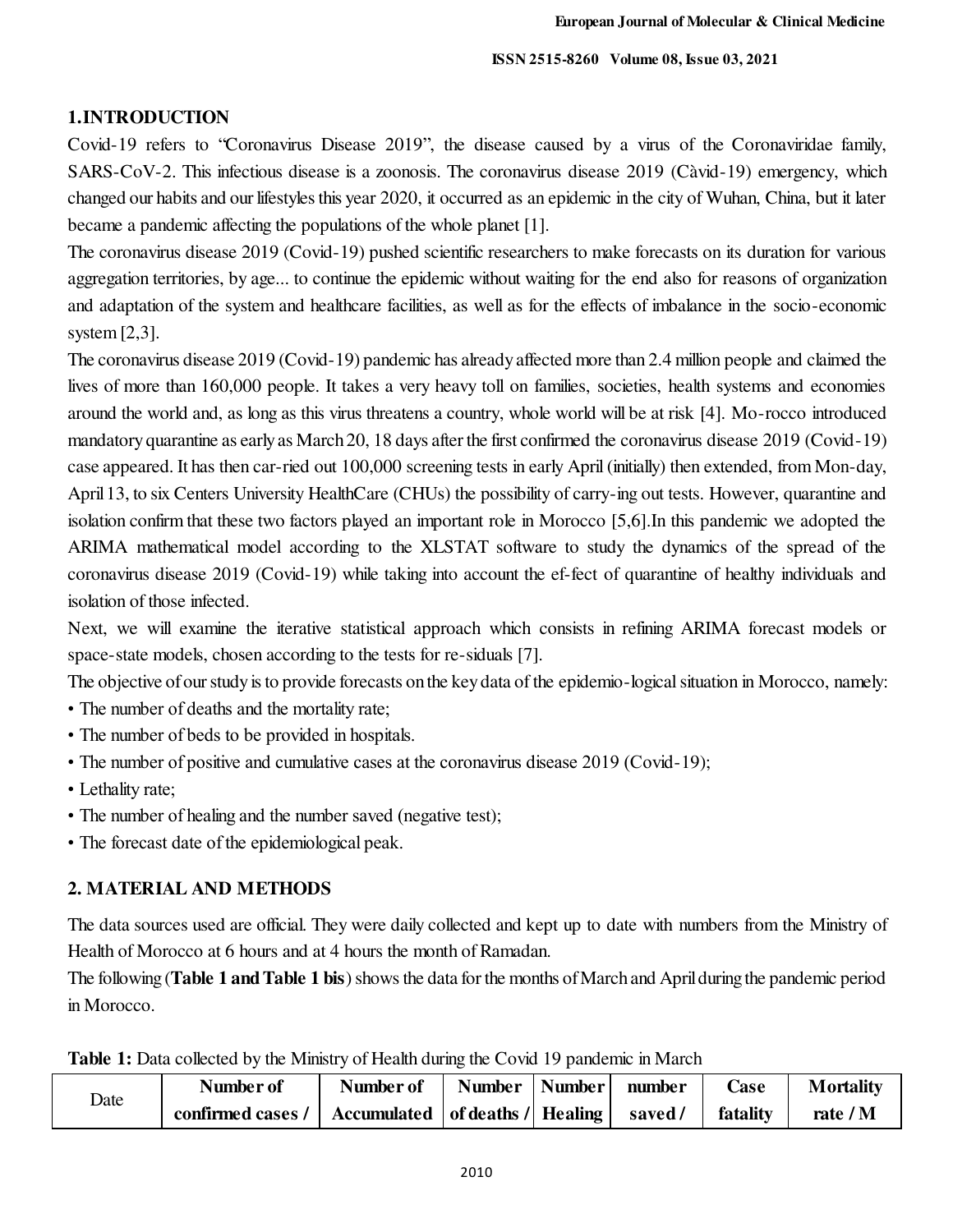## **1.INTRODUCTION**

Covid-19 refers to "Coronavirus Disease 2019", the disease caused by a virus of the Coronaviridae family, SARS-CoV-2. This infectious disease is a zoonosis. The coronavirus disease 2019 (Càvid-19) emergency, which changed our habits and our lifestyles this year 2020, it occurred as an epidemic in the city of Wuhan, China, but it later became a pandemic affecting the populations of the whole planet [1].

The coronavirus disease 2019 (Covid-19) pushed scientific researchers to make forecasts on its duration for various aggregation territories, by age... to continue the epidemic without waiting for the end also for reasons of organization and adaptation of the system and healthcare facilities, as well as for the effects of imbalance in the socio-economic system [2,3].

The coronavirus disease 2019 (Covid-19) pandemic has already affected more than 2.4 million people and claimed the lives of more than 160,000 people. It takes a very heavy toll on families, societies, health systems and economies around the world and, as long as this virus threatens a country, whole world will be at risk [4]. Mo-rocco introduced mandatory quarantine as early as March 20, 18 days after the first confirmed the coronavirus disease 2019 (Covid-19) case appeared. It has then car-ried out 100,000 screening tests in early April (initially) then extended, from Mon-day, April 13, to six Centers University HealthCare (CHUs) the possibility of carry-ing out tests. However, quarantine and isolation confirm that these two factors played an important role in Morocco [5,6].In this pandemic we adopted the ARIMA mathematical model according to the XLSTAT software to study the dynamics of the spread of the coronavirus disease 2019 (Covid-19) while taking into account the ef-fect of quarantine of healthy individuals and isolation of those infected.

Next, we will examine the iterative statistical approach which consists in refining ARIMA forecast models or space-state models, chosen according to the tests for re-siduals [7].

The objective of our study is to provide forecasts on the key data of the epidemio-logical situation in Morocco, namely:

- The number of deaths and the mortality rate;
- The number of beds to be provided in hospitals.
- The number of positive and cumulative cases at the coronavirus disease 2019 (Covid-19);
- Lethality rate;
- The number of healing and the number saved (negative test);
- The forecast date of the epidemiological peak.

## **2. MATERIAL AND METHODS**

The data sources used are official. They were daily collected and kept up to date with numbers from the Ministry of Health of Morocco at 6 hours and at 4 hours the month of Ramadan.

The following (**Table 1 and Table 1 bis**) shows the data for the months of March and April during the pandemic period in Morocco.

|  |  |  |  |  |  | Table 1: Data collected by the Ministry of Health during the Covid 19 pandemic in March |  |  |  |  |  |
|--|--|--|--|--|--|-----------------------------------------------------------------------------------------|--|--|--|--|--|
|--|--|--|--|--|--|-----------------------------------------------------------------------------------------|--|--|--|--|--|

| Date | Number of                                               | Number of | Number   Number | number  | Case     | <b>Mortality</b> |
|------|---------------------------------------------------------|-----------|-----------------|---------|----------|------------------|
|      | confirmed cases /   Accumulated   of deaths /   Healing |           |                 | saved / | fatality | rate $/M$        |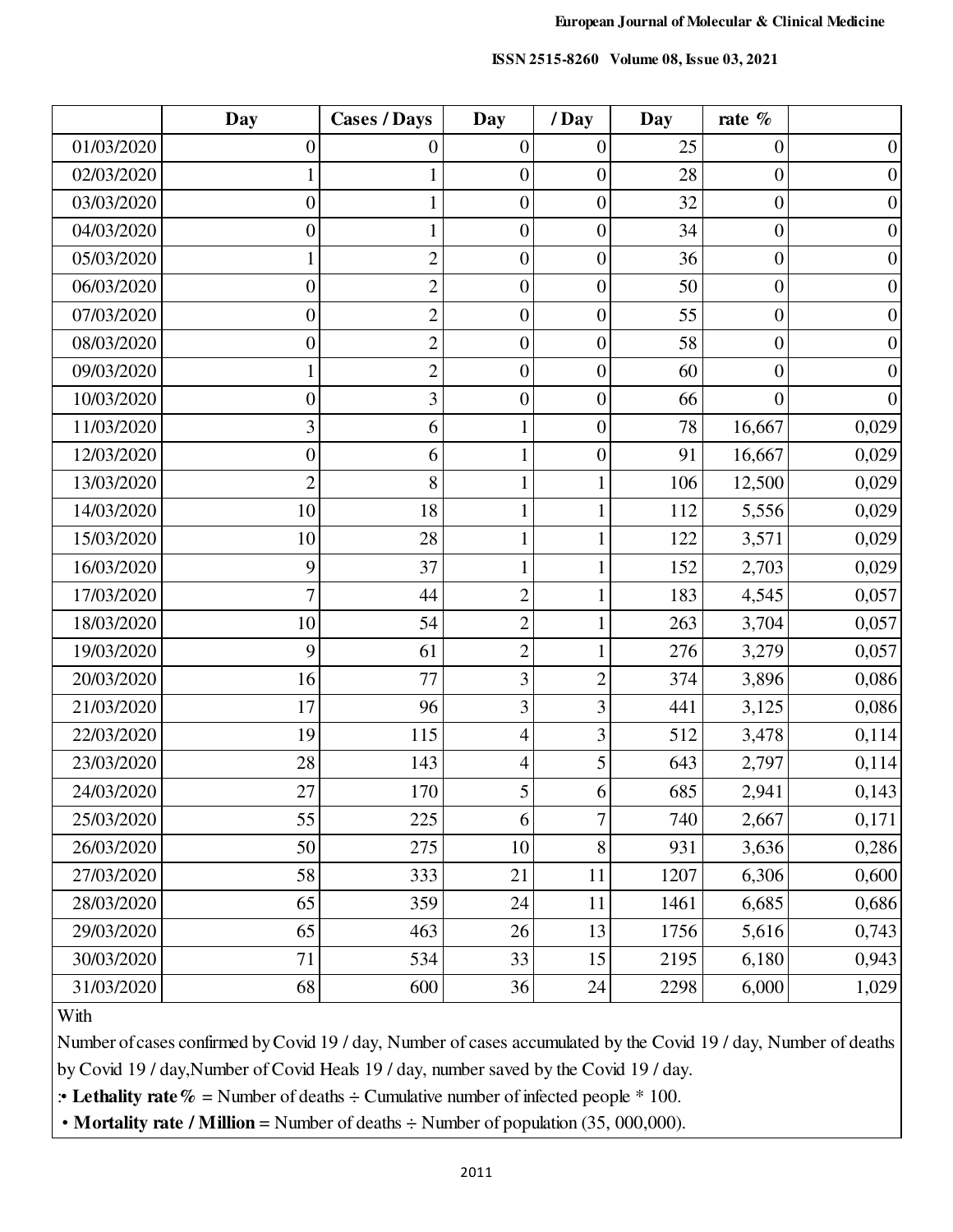|  |  | <b>ISSN 2515-8260</b> Volume 08, Issue 03, 2021 |
|--|--|-------------------------------------------------|
|--|--|-------------------------------------------------|

|            | <b>Day</b>       | <b>Cases / Days</b> | <b>Day</b>       | /Day             | Day  | rate %           |                  |
|------------|------------------|---------------------|------------------|------------------|------|------------------|------------------|
| 01/03/2020 | $\boldsymbol{0}$ | $\boldsymbol{0}$    | $\boldsymbol{0}$ | $\boldsymbol{0}$ | 25   | $\boldsymbol{0}$ | $\boldsymbol{0}$ |
| 02/03/2020 |                  | 1                   | $\boldsymbol{0}$ | $\boldsymbol{0}$ | 28   | $\boldsymbol{0}$ | $\boldsymbol{0}$ |
| 03/03/2020 | $\boldsymbol{0}$ | $\mathbf{1}$        | $\boldsymbol{0}$ | $\boldsymbol{0}$ | 32   | $\boldsymbol{0}$ | $\boldsymbol{0}$ |
| 04/03/2020 | $\boldsymbol{0}$ | $\mathbf{1}$        | $\boldsymbol{0}$ | $\boldsymbol{0}$ | 34   | $\boldsymbol{0}$ | $\boldsymbol{0}$ |
| 05/03/2020 |                  | $\overline{2}$      | $\boldsymbol{0}$ | $\boldsymbol{0}$ | 36   | $\boldsymbol{0}$ | $\boldsymbol{0}$ |
| 06/03/2020 | $\boldsymbol{0}$ | $\mathbf{2}$        | $\boldsymbol{0}$ | $\boldsymbol{0}$ | 50   | $\boldsymbol{0}$ | $\boldsymbol{0}$ |
| 07/03/2020 | $\boldsymbol{0}$ | $\overline{2}$      | $\boldsymbol{0}$ | $\overline{0}$   | 55   | $\boldsymbol{0}$ | $\boldsymbol{0}$ |
| 08/03/2020 | $\boldsymbol{0}$ | $\overline{2}$      | $\boldsymbol{0}$ | $\boldsymbol{0}$ | 58   | $\boldsymbol{0}$ | $\boldsymbol{0}$ |
| 09/03/2020 | 1                | $\overline{2}$      | $\boldsymbol{0}$ | $\boldsymbol{0}$ | 60   | $\boldsymbol{0}$ | $\boldsymbol{0}$ |
| 10/03/2020 | $\boldsymbol{0}$ | 3                   | $\boldsymbol{0}$ | $\boldsymbol{0}$ | 66   | $\overline{0}$   | $\boldsymbol{0}$ |
| 11/03/2020 | 3                | 6                   | $\mathbf{1}$     | $\boldsymbol{0}$ | 78   | 16,667           | 0,029            |
| 12/03/2020 | $\boldsymbol{0}$ | 6                   | $\mathbf{1}$     | $\boldsymbol{0}$ | 91   | 16,667           | 0,029            |
| 13/03/2020 | $\overline{2}$   | 8                   | $\mathbf{1}$     | $\mathbf{1}$     | 106  | 12,500           | 0,029            |
| 14/03/2020 | 10               | 18                  | $\mathbf{1}$     | $\mathbf{1}$     | 112  | 5,556            | 0,029            |
| 15/03/2020 | 10               | 28                  | $\mathbf{1}$     | $\mathbf{1}$     | 122  | 3,571            | 0,029            |
| 16/03/2020 | 9                | 37                  | $\mathbf{1}$     | $\mathbf{1}$     | 152  | 2,703            | 0,029            |
| 17/03/2020 | $\overline{7}$   | 44                  | $\overline{2}$   | $\mathbf{1}$     | 183  | 4,545            | 0,057            |
| 18/03/2020 | 10               | 54                  | $\overline{c}$   | $\mathbf{1}$     | 263  | 3,704            | 0,057            |
| 19/03/2020 | 9                | 61                  | $\overline{2}$   | $\mathbf{1}$     | 276  | 3,279            | 0,057            |
| 20/03/2020 | 16               | 77                  | 3                | $\overline{2}$   | 374  | 3,896            | 0,086            |
| 21/03/2020 | 17               | 96                  | 3                | 3                | 441  | 3,125            | 0,086            |
| 22/03/2020 | 19               | 115                 | 4                | 3                | 512  | 3,478            | 0,114            |
| 23/03/2020 | 28               | 143                 | 4                | 5                | 643  | 2,797            | 0,114            |
| 24/03/2020 | 27               | 170                 | 5                | 6                | 685  | 2,941            | 0,143            |
| 25/03/2020 | 55               | 225                 | 6                | $\overline{7}$   | 740  | 2,667            | 0,171            |
| 26/03/2020 | 50               | 275                 | 10               | 8                | 931  | 3,636            | 0,286            |
| 27/03/2020 | 58               | 333                 | 21               | 11               | 1207 | 6,306            | 0,600            |
| 28/03/2020 | 65               | 359                 | 24               | 11               | 1461 | 6,685            | 0,686            |
| 29/03/2020 | 65               | 463                 | 26               | 13               | 1756 | 5,616            | 0,743            |
| 30/03/2020 | 71               | 534                 | 33               | 15               | 2195 | 6,180            | 0,943            |
| 31/03/2020 | 68               | 600                 | 36               | $24\,$           | 2298 | 6,000            | 1,029            |

## **With**

Number of cases confirmed by Covid 19 / day, Number of cases accumulated by the Covid 19 / day, Number of deaths by Covid 19 / day,Number of Covid Heals 19 / day, number saved by the Covid 19 / day.

:• Lethality rate  $\%$  = Number of deaths  $\div$  Cumulative number of infected people  $*$  100.

• **Mortality rate / Million** = Number of deaths ÷ Number of population (35, 000,000).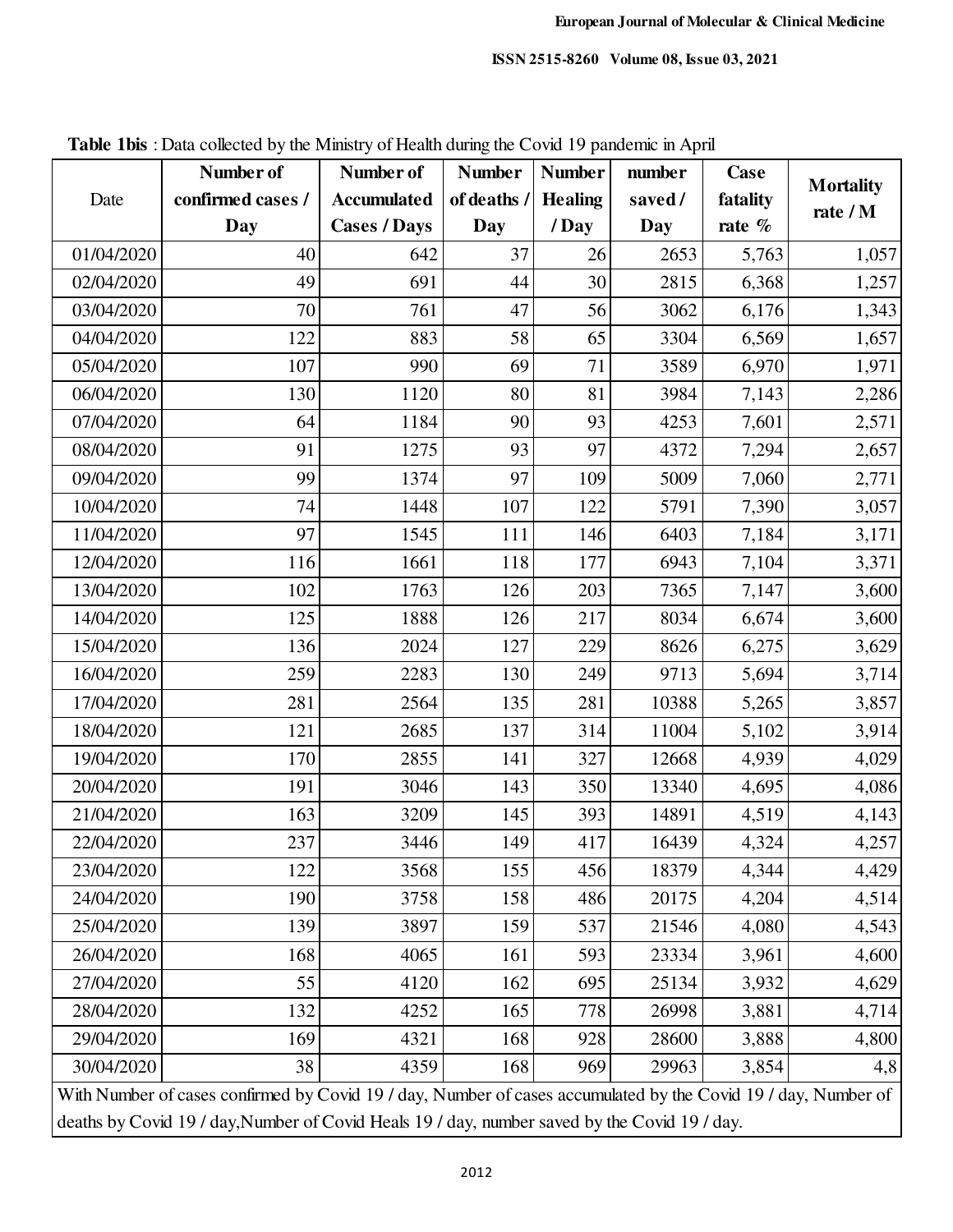| confirmed cases /<br>of deaths /<br>fatality<br>Date<br><b>Accumulated</b><br><b>Healing</b><br>saved/<br>rate / M<br><b>Cases / Days</b><br>$/$ Day<br>Day<br>Day<br>Day<br>rate $%$<br>01/04/2020<br>37<br>40<br>26<br>2653<br>5,763<br>642<br>2815<br>6,368<br>02/04/2020<br>49<br>691<br>44<br>30<br>47<br>56<br>03/04/2020<br>70<br>761<br>3062<br>6,176<br>122<br>883<br>58<br>3304<br>6,569<br>04/04/2020<br>65<br>69<br>71<br>3589<br>05/04/2020<br>107<br>990<br>6,970<br>130<br>80<br>81<br>3984<br>06/04/2020<br>1120<br>7,143<br>90<br>93<br>07/04/2020<br>64<br>1184<br>4253<br>7,601<br>93<br>91<br>1275<br>97<br>4372<br>7,294<br>08/04/2020<br>99<br>97<br>109<br>5009<br>09/04/2020<br>1374<br>7,060<br>1448<br>122<br>10/04/2020<br>74<br>107<br>5791<br>7,390<br>97<br>1545<br>146<br>6403<br>11/04/2020<br>111<br>7,184<br>177<br>6943<br>12/04/2020<br>116<br>1661<br>118<br>7,104<br>102<br>203<br>13/04/2020<br>1763<br>126<br>7365<br>7,147<br>125<br>1888<br>217<br>8034<br>14/04/2020<br>126<br>6,674<br>136<br>229<br>8626<br>15/04/2020<br>2024<br>127<br>6,275<br>259<br>2283<br>249<br>9713<br>16/04/2020<br>130<br>5,694<br>281<br>2564<br>281<br>17/04/2020<br>135<br>10388<br>5,265<br>121<br>2685<br>18/04/2020<br>137<br>314<br>11004<br>5,102<br>2855<br>327<br>19/04/2020<br>170<br>141<br>12668<br>4,939 |            | Number of | Number of | <b>Number</b> | <b>Number</b> | number | <b>Case</b> |                  |
|------------------------------------------------------------------------------------------------------------------------------------------------------------------------------------------------------------------------------------------------------------------------------------------------------------------------------------------------------------------------------------------------------------------------------------------------------------------------------------------------------------------------------------------------------------------------------------------------------------------------------------------------------------------------------------------------------------------------------------------------------------------------------------------------------------------------------------------------------------------------------------------------------------------------------------------------------------------------------------------------------------------------------------------------------------------------------------------------------------------------------------------------------------------------------------------------------------------------------------------------------------------------------------------------------------------------------------------------|------------|-----------|-----------|---------------|---------------|--------|-------------|------------------|
|                                                                                                                                                                                                                                                                                                                                                                                                                                                                                                                                                                                                                                                                                                                                                                                                                                                                                                                                                                                                                                                                                                                                                                                                                                                                                                                                                |            |           |           |               |               |        |             | <b>Mortality</b> |
|                                                                                                                                                                                                                                                                                                                                                                                                                                                                                                                                                                                                                                                                                                                                                                                                                                                                                                                                                                                                                                                                                                                                                                                                                                                                                                                                                |            |           |           |               |               |        |             |                  |
|                                                                                                                                                                                                                                                                                                                                                                                                                                                                                                                                                                                                                                                                                                                                                                                                                                                                                                                                                                                                                                                                                                                                                                                                                                                                                                                                                |            |           |           |               |               |        |             | 1,057            |
|                                                                                                                                                                                                                                                                                                                                                                                                                                                                                                                                                                                                                                                                                                                                                                                                                                                                                                                                                                                                                                                                                                                                                                                                                                                                                                                                                |            |           |           |               |               |        |             | 1,257            |
|                                                                                                                                                                                                                                                                                                                                                                                                                                                                                                                                                                                                                                                                                                                                                                                                                                                                                                                                                                                                                                                                                                                                                                                                                                                                                                                                                |            |           |           |               |               |        |             | 1,343            |
|                                                                                                                                                                                                                                                                                                                                                                                                                                                                                                                                                                                                                                                                                                                                                                                                                                                                                                                                                                                                                                                                                                                                                                                                                                                                                                                                                |            |           |           |               |               |        |             | 1,657            |
|                                                                                                                                                                                                                                                                                                                                                                                                                                                                                                                                                                                                                                                                                                                                                                                                                                                                                                                                                                                                                                                                                                                                                                                                                                                                                                                                                |            |           |           |               |               |        |             | 1,971            |
|                                                                                                                                                                                                                                                                                                                                                                                                                                                                                                                                                                                                                                                                                                                                                                                                                                                                                                                                                                                                                                                                                                                                                                                                                                                                                                                                                |            |           |           |               |               |        |             | 2,286            |
|                                                                                                                                                                                                                                                                                                                                                                                                                                                                                                                                                                                                                                                                                                                                                                                                                                                                                                                                                                                                                                                                                                                                                                                                                                                                                                                                                |            |           |           |               |               |        |             | 2,571            |
|                                                                                                                                                                                                                                                                                                                                                                                                                                                                                                                                                                                                                                                                                                                                                                                                                                                                                                                                                                                                                                                                                                                                                                                                                                                                                                                                                |            |           |           |               |               |        |             | 2,657            |
|                                                                                                                                                                                                                                                                                                                                                                                                                                                                                                                                                                                                                                                                                                                                                                                                                                                                                                                                                                                                                                                                                                                                                                                                                                                                                                                                                |            |           |           |               |               |        |             | 2,771            |
|                                                                                                                                                                                                                                                                                                                                                                                                                                                                                                                                                                                                                                                                                                                                                                                                                                                                                                                                                                                                                                                                                                                                                                                                                                                                                                                                                |            |           |           |               |               |        |             | 3,057            |
|                                                                                                                                                                                                                                                                                                                                                                                                                                                                                                                                                                                                                                                                                                                                                                                                                                                                                                                                                                                                                                                                                                                                                                                                                                                                                                                                                |            |           |           |               |               |        |             | 3,171            |
|                                                                                                                                                                                                                                                                                                                                                                                                                                                                                                                                                                                                                                                                                                                                                                                                                                                                                                                                                                                                                                                                                                                                                                                                                                                                                                                                                |            |           |           |               |               |        |             | 3,371            |
|                                                                                                                                                                                                                                                                                                                                                                                                                                                                                                                                                                                                                                                                                                                                                                                                                                                                                                                                                                                                                                                                                                                                                                                                                                                                                                                                                |            |           |           |               |               |        |             | 3,600            |
|                                                                                                                                                                                                                                                                                                                                                                                                                                                                                                                                                                                                                                                                                                                                                                                                                                                                                                                                                                                                                                                                                                                                                                                                                                                                                                                                                |            |           |           |               |               |        |             | 3,600            |
|                                                                                                                                                                                                                                                                                                                                                                                                                                                                                                                                                                                                                                                                                                                                                                                                                                                                                                                                                                                                                                                                                                                                                                                                                                                                                                                                                |            |           |           |               |               |        |             | 3,629            |
|                                                                                                                                                                                                                                                                                                                                                                                                                                                                                                                                                                                                                                                                                                                                                                                                                                                                                                                                                                                                                                                                                                                                                                                                                                                                                                                                                |            |           |           |               |               |        |             | 3,714            |
|                                                                                                                                                                                                                                                                                                                                                                                                                                                                                                                                                                                                                                                                                                                                                                                                                                                                                                                                                                                                                                                                                                                                                                                                                                                                                                                                                |            |           |           |               |               |        |             | 3,857            |
|                                                                                                                                                                                                                                                                                                                                                                                                                                                                                                                                                                                                                                                                                                                                                                                                                                                                                                                                                                                                                                                                                                                                                                                                                                                                                                                                                |            |           |           |               |               |        |             | 3,914            |
|                                                                                                                                                                                                                                                                                                                                                                                                                                                                                                                                                                                                                                                                                                                                                                                                                                                                                                                                                                                                                                                                                                                                                                                                                                                                                                                                                |            |           |           |               |               |        |             | 4,029            |
|                                                                                                                                                                                                                                                                                                                                                                                                                                                                                                                                                                                                                                                                                                                                                                                                                                                                                                                                                                                                                                                                                                                                                                                                                                                                                                                                                | 20/04/2020 | 191       | 3046      | 143           | 350           | 13340  | 4,695       | 4,086            |
| 3209<br>393<br>21/04/2020<br>163<br>145<br>14891<br>4,519                                                                                                                                                                                                                                                                                                                                                                                                                                                                                                                                                                                                                                                                                                                                                                                                                                                                                                                                                                                                                                                                                                                                                                                                                                                                                      |            |           |           |               |               |        |             | 4,143            |
| 237<br>3446<br>149<br>417<br>16439<br>4,324<br>22/04/2020                                                                                                                                                                                                                                                                                                                                                                                                                                                                                                                                                                                                                                                                                                                                                                                                                                                                                                                                                                                                                                                                                                                                                                                                                                                                                      |            |           |           |               |               |        |             | 4,257            |
| 122<br>3568<br>155<br>456<br>18379<br>4,344<br>23/04/2020                                                                                                                                                                                                                                                                                                                                                                                                                                                                                                                                                                                                                                                                                                                                                                                                                                                                                                                                                                                                                                                                                                                                                                                                                                                                                      |            |           |           |               |               |        |             | 4,429            |
| 24/04/2020<br>190<br>3758<br>158<br>486<br>20175<br>4,204                                                                                                                                                                                                                                                                                                                                                                                                                                                                                                                                                                                                                                                                                                                                                                                                                                                                                                                                                                                                                                                                                                                                                                                                                                                                                      |            |           |           |               |               |        |             | 4,514            |
| 139<br>3897<br>25/04/2020<br>159<br>537<br>21546<br>4,080                                                                                                                                                                                                                                                                                                                                                                                                                                                                                                                                                                                                                                                                                                                                                                                                                                                                                                                                                                                                                                                                                                                                                                                                                                                                                      |            |           |           |               |               |        |             | 4,543            |
| 26/04/2020<br>4065<br>168<br>593<br>23334<br>3,961<br>161                                                                                                                                                                                                                                                                                                                                                                                                                                                                                                                                                                                                                                                                                                                                                                                                                                                                                                                                                                                                                                                                                                                                                                                                                                                                                      |            |           |           |               |               |        |             | 4,600            |
| 27/04/2020<br>55<br>4120<br>162<br>695<br>25134<br>3,932                                                                                                                                                                                                                                                                                                                                                                                                                                                                                                                                                                                                                                                                                                                                                                                                                                                                                                                                                                                                                                                                                                                                                                                                                                                                                       |            |           |           |               |               |        |             | 4,629            |
| 28/04/2020<br>4252<br>132<br>165<br>778<br>26998<br>3,881                                                                                                                                                                                                                                                                                                                                                                                                                                                                                                                                                                                                                                                                                                                                                                                                                                                                                                                                                                                                                                                                                                                                                                                                                                                                                      |            |           |           |               |               |        |             | 4,714            |
| 29/04/2020<br>169<br>928<br>4321<br>168<br>28600<br>3,888                                                                                                                                                                                                                                                                                                                                                                                                                                                                                                                                                                                                                                                                                                                                                                                                                                                                                                                                                                                                                                                                                                                                                                                                                                                                                      |            |           |           |               |               |        |             | 4,800            |
| 30/04/2020<br>38<br>4359<br>3,854<br>168<br>969<br>29963                                                                                                                                                                                                                                                                                                                                                                                                                                                                                                                                                                                                                                                                                                                                                                                                                                                                                                                                                                                                                                                                                                                                                                                                                                                                                       |            |           |           |               |               |        |             | 4,8              |

**Table 1bis** : Data collected by the Ministry of Health during the Covid 19 pandemic in April

With Number of cases confirmed by Covid 19 / day, Number of cases accumulated by the Covid 19 / day, Number of deaths by Covid 19 / day,Number of Covid Heals 19 / day, number saved by the Covid 19 / day.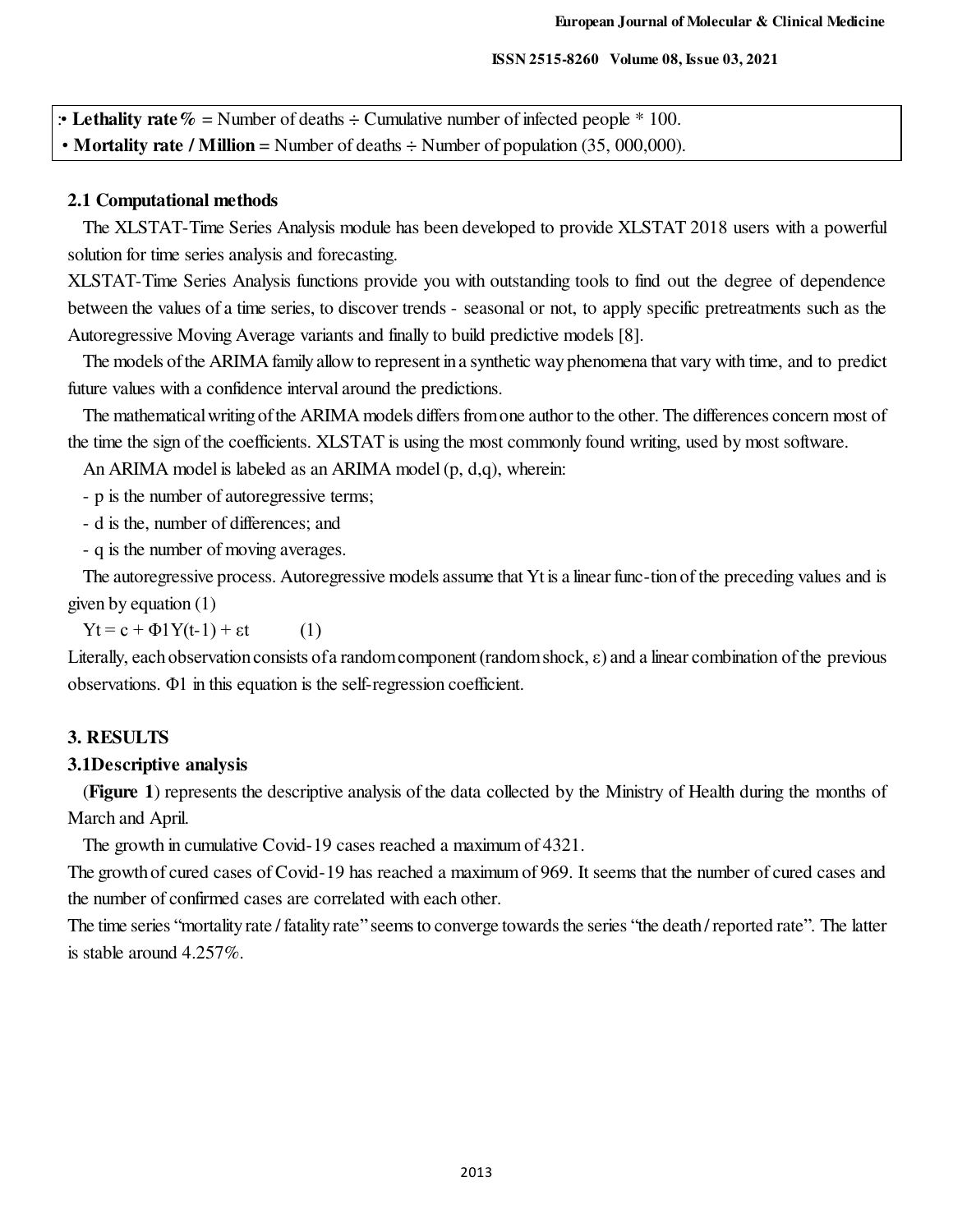#### **ISSN 2515-8260 Volume 08, Issue 03, 2021**

| <b>• Lethality rate</b> $\%$ = Number of deaths $\div$ Cumulative number of infected people $*$ 100.   |
|--------------------------------------------------------------------------------------------------------|
| • <b>Mortality rate</b> / <b>Million</b> = Number of deaths $\div$ Number of population (35, 000,000). |

#### **2.1 Computational methods**

The XLSTAT-Time Series Analysis module has been developed to provide XLSTAT 2018 users with a powerful solution for time series analysis and forecasting.

XLSTAT-Time Series Analysis functions provide you with outstanding tools to find out the degree of dependence between the values of a time series, to discover trends - seasonal or not, to apply specific pretreatments such as the Autoregressive Moving Average variants and finally to build predictive models [8].

The models of the ARIMA family allow to represent in a synthetic way phenomena that vary with time, and to predict future values with a confidence interval around the predictions.

The mathematical writing of the ARIMA models differs from one author to the other. The differences concern most of the time the sign of the coefficients. XLSTAT is using the most commonly found writing, used by most software.

An ARIMA model is labeled as an ARIMA model (p, d,q), wherein:

- p is the number of autoregressive terms;

- d is the, number of differences; and

- q is the number of moving averages.

The autoregressive process. Autoregressive models assume that Yt is a linear func-tion of the preceding values and is given by equation (1)

 $Yt = c + \Phi(Y(t-1) + \varepsilon t$  (1)

Literally, each observation consists of a random component (random shock,  $\varepsilon$ ) and a linear combination of the previous observations. Φ1 in this equation is the self-regression coefficient.

#### **3. RESULTS**

#### **3.1Descriptive analysis**

(**Figure 1**) represents the descriptive analysis of the data collected by the Ministry of Health during the months of March and April.

The growth in cumulative Covid-19 cases reached a maximum of 4321.

The growth of cured cases of Covid-19 has reached a maximum of 969. It seems that the number of cured cases and the number of confirmed cases are correlated with each other.

The time series "mortality rate / fatality rate" seems to converge towards the series "the death / reported rate". The latter is stable around 4.257%.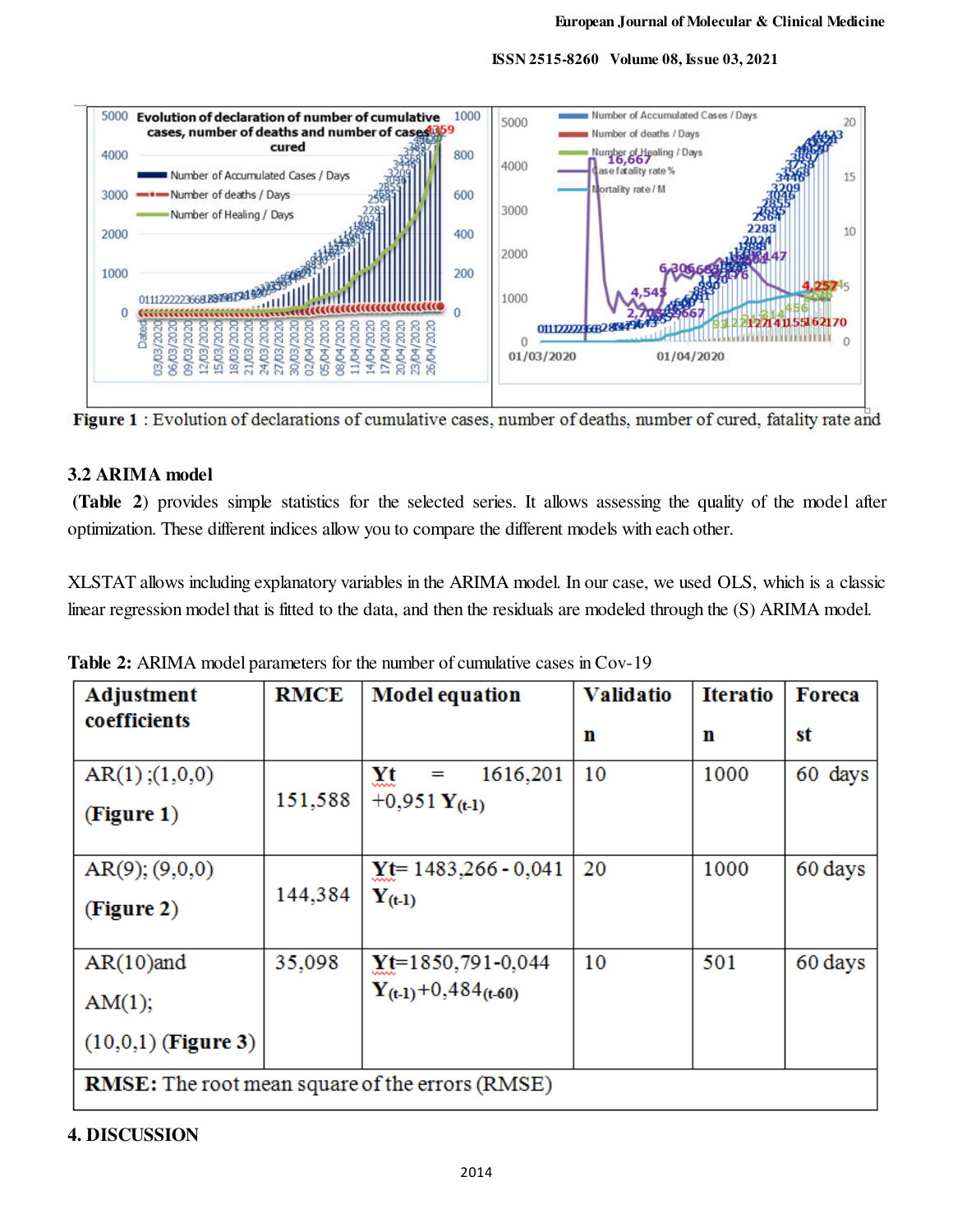

 **ISSN 2515-8260 Volume 08, Issue 03, 2021**

Figure 1 : Evolution of declarations of cumulative cases, number of deaths, number of cured, fatality rate and

## **3.2 ARIMA model**

 **(Table 2**) provides simple statistics for the selected series. It allows assessing the quality of the model after optimization. These different indices allow you to compare the different models with each other.

XLSTAT allows including explanatory variables in the ARIMA model. In our case, we used OLS, which is a classic linear regression model that is fitted to the data, and then the residuals are modeled through the (S) ARIMA model.

| Adjustment                                      | <b>RMCE</b> | <b>Model equation</b>                             | <b>Validatio</b>                                       | <b>Iteratio</b> | <b>Foreca</b> |  |  |  |  |  |
|-------------------------------------------------|-------------|---------------------------------------------------|--------------------------------------------------------|-----------------|---------------|--|--|--|--|--|
| coefficients                                    |             |                                                   | n                                                      | n               | st            |  |  |  |  |  |
| AR(1);(1,0,0)<br>(Figure 1)                     | 151,588     | 1616,201<br>Yt<br>$=$<br>+0,951 $Y_{(t-1)}$       | 10                                                     | 1000            | 60 days       |  |  |  |  |  |
| $AR(9)$ ; $(9,0,0)$<br>(Figure 2)               | 144,384     | $Yt = 1483,266 - 0,041$<br>$Y_{(t-1)}$            | 20                                                     | 1000            | 60 days       |  |  |  |  |  |
| $AR(10)$ and<br>AM(1);<br>$(10,0,1)$ (Figure 3) | 35,098      | $Yt=1850,791-0,044$<br>$Y_{(t-1)}+0,484_{(t-60)}$ | 10                                                     | 501             | 60 days       |  |  |  |  |  |
|                                                 |             |                                                   | <b>RMSE:</b> The root mean square of the errors (RMSE) |                 |               |  |  |  |  |  |

**Table 2:** ARIMA model parameters for the number of cumulative cases in Cov-19

# **4. DISCUSSION**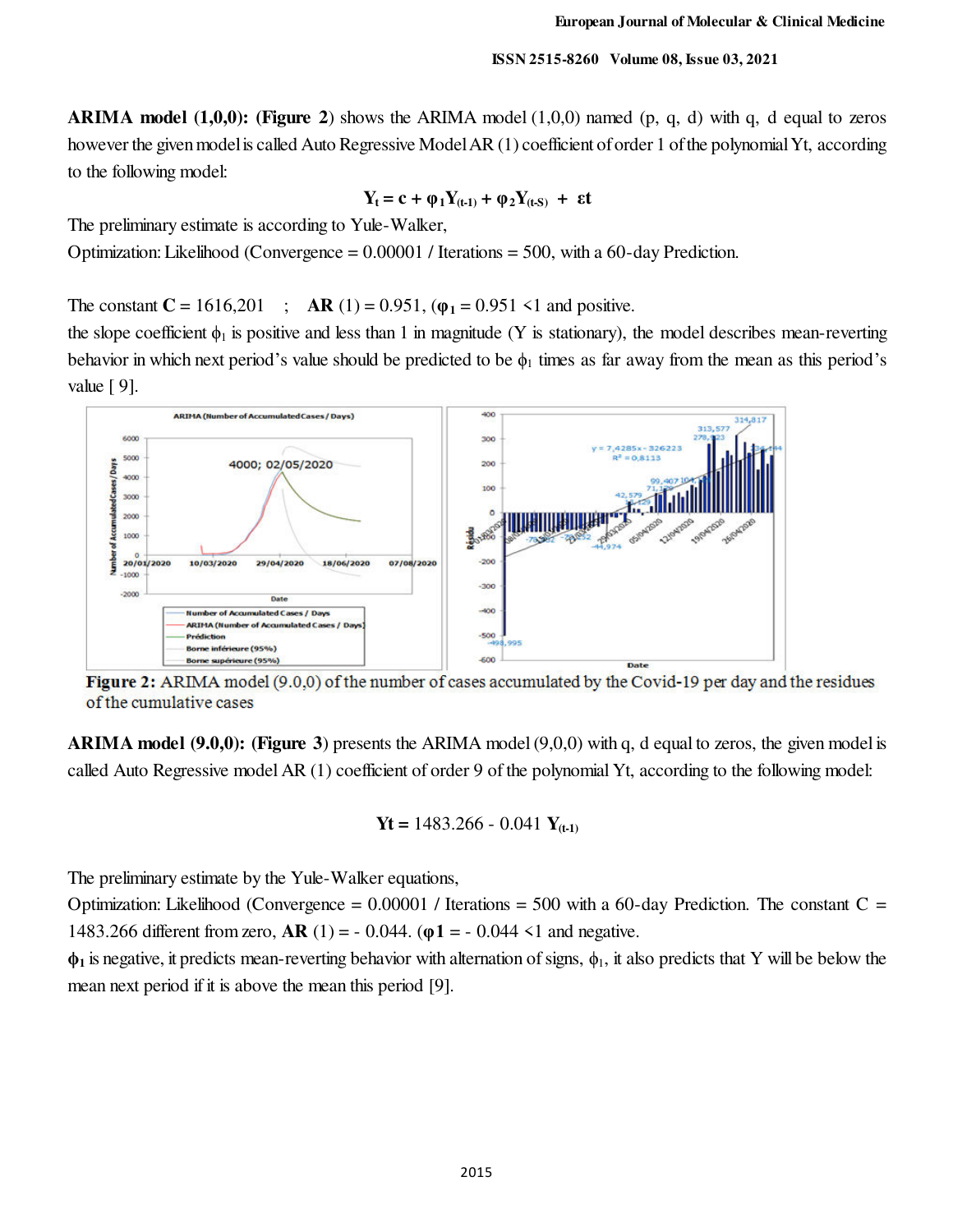**ARIMA model (1,0,0): (Figure 2)** shows the ARIMA model  $(1,0,0)$  named  $(p, q, d)$  with q, d equal to zeros however the given model is called Auto Regressive Model AR (1) coefficient of order 1 of the polynomial Yt, according to the following model:

$$
Y_t = c + \varphi_1 Y_{(t\text{-}1)} + \varphi_2 Y_{(t\text{-}S)} + \epsilon t
$$

The preliminary estimate is according to Yule-Walker,

Optimization: Likelihood (Convergence = 0.00001 / Iterations = 500, with a 60-day Prediction.

The constant  $C = 1616,201$ ;  $AR(1) = 0.951, (\varphi_1 = 0.951 \le 1$  and positive.

the slope coefficient  $\phi_1$  is positive and less than 1 in magnitude (Y is stationary), the model describes mean-reverting behavior in which next period's value should be predicted to be  $\phi_1$  times as far away from the mean as this period's value [ 9].



Figure 2: ARIMA model (9.0,0) of the number of cases accumulated by the Covid-19 per day and the residues of the cumulative cases

**ARIMA model (9.0,0): (Figure 3**) presents the ARIMA model (9,0,0) with q, d equal to zeros, the given model is called Auto Regressive model AR (1) coefficient of order 9 of the polynomial Yt, according to the following model:

$$
Yt = 1483.266 - 0.041 Y_{(t-1)}
$$

The preliminary estimate by the Yule-Walker equations,

Optimization: Likelihood (Convergence  $= 0.00001$  / Iterations  $= 500$  with a 60-day Prediction. The constant C  $=$ 1483.266 different from zero, **AR** (1) = - 0.044. (**φ1** = - 0.044 <1 and negative.

**ϕ1** is negative, it predicts mean-reverting behavior with alternation of signs, ϕ1, it also predicts that Y will be below the mean next period if it is above the mean this period [9].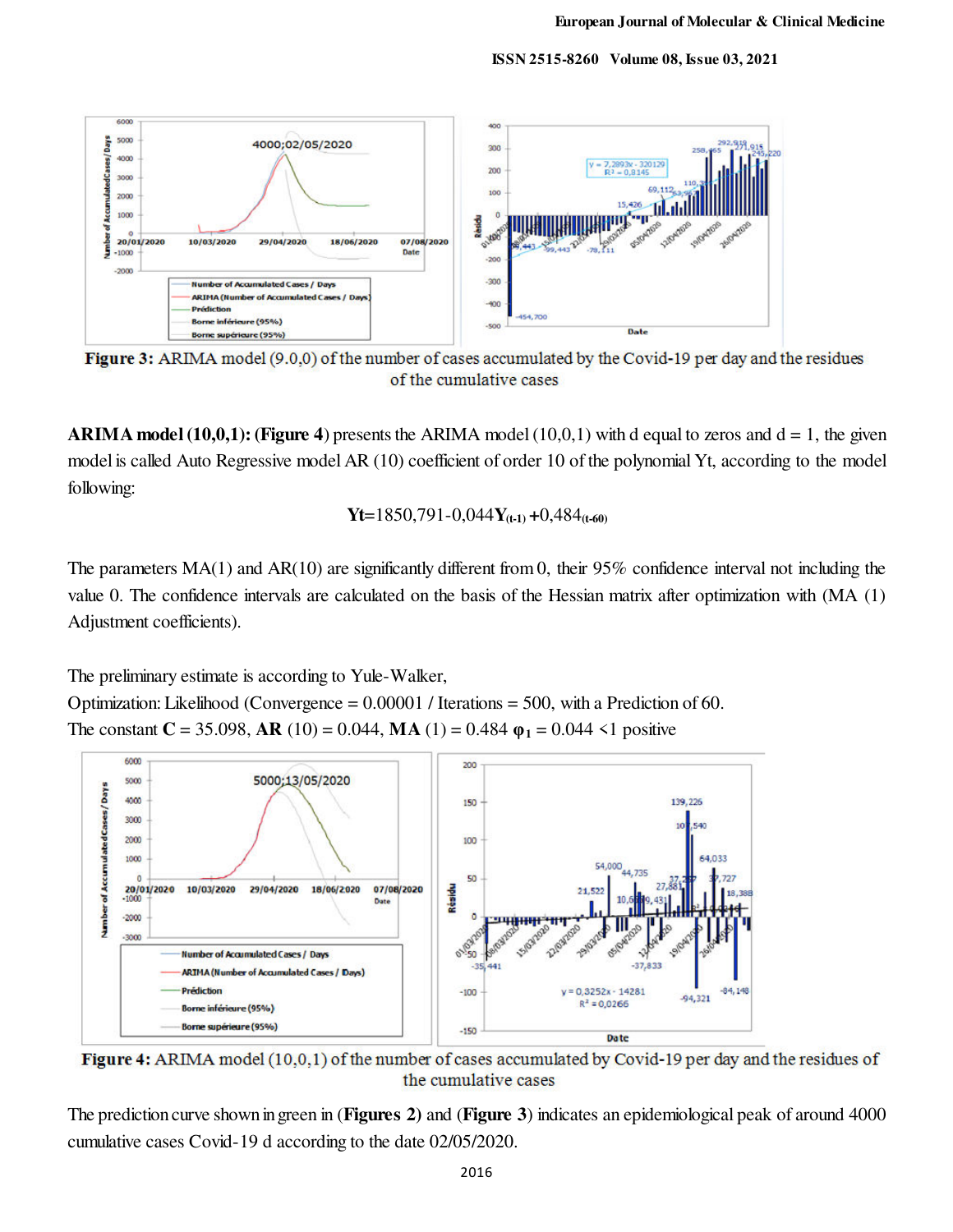**ISSN 2515-8260 Volume 08, Issue 03, 2021**



Figure 3: ARIMA model (9.0,0) of the number of cases accumulated by the Covid-19 per day and the residues of the cumulative cases

**ARIMA model (10,0,1): (Figure 4**) presents the ARIMA model (10,0,1) with d equal to zeros and  $d = 1$ , the given model is called Auto Regressive model AR (10) coefficient of order 10 of the polynomial Yt, according to the model following:

$$
Yt=1850,791-0,044Y_{(t-1)}+0,484_{(t-60)}
$$

The parameters MA(1) and AR(10) are significantly different from 0, their 95% confidence interval not including the value 0. The confidence intervals are calculated on the basis of the Hessian matrix after optimization with (MA (1) Adjustment coefficients).

The preliminary estimate is according to Yule-Walker,

Optimization: Likelihood (Convergence = 0.00001 / Iterations = 500, with a Prediction of 60. The constant  $C = 35.098$ , AR (10) = 0.044, MA (1) = 0.484  $\varphi_1 = 0.044 \le 1$  positive



Figure 4: ARIMA model (10,0,1) of the number of cases accumulated by Covid-19 per day and the residues of the cumulative cases

The prediction curve shown in green in (**Figures 2)** and (**Figure 3**) indicates an epidemiological peak of around 4000 cumulative cases Covid-19 d according to the date 02/05/2020.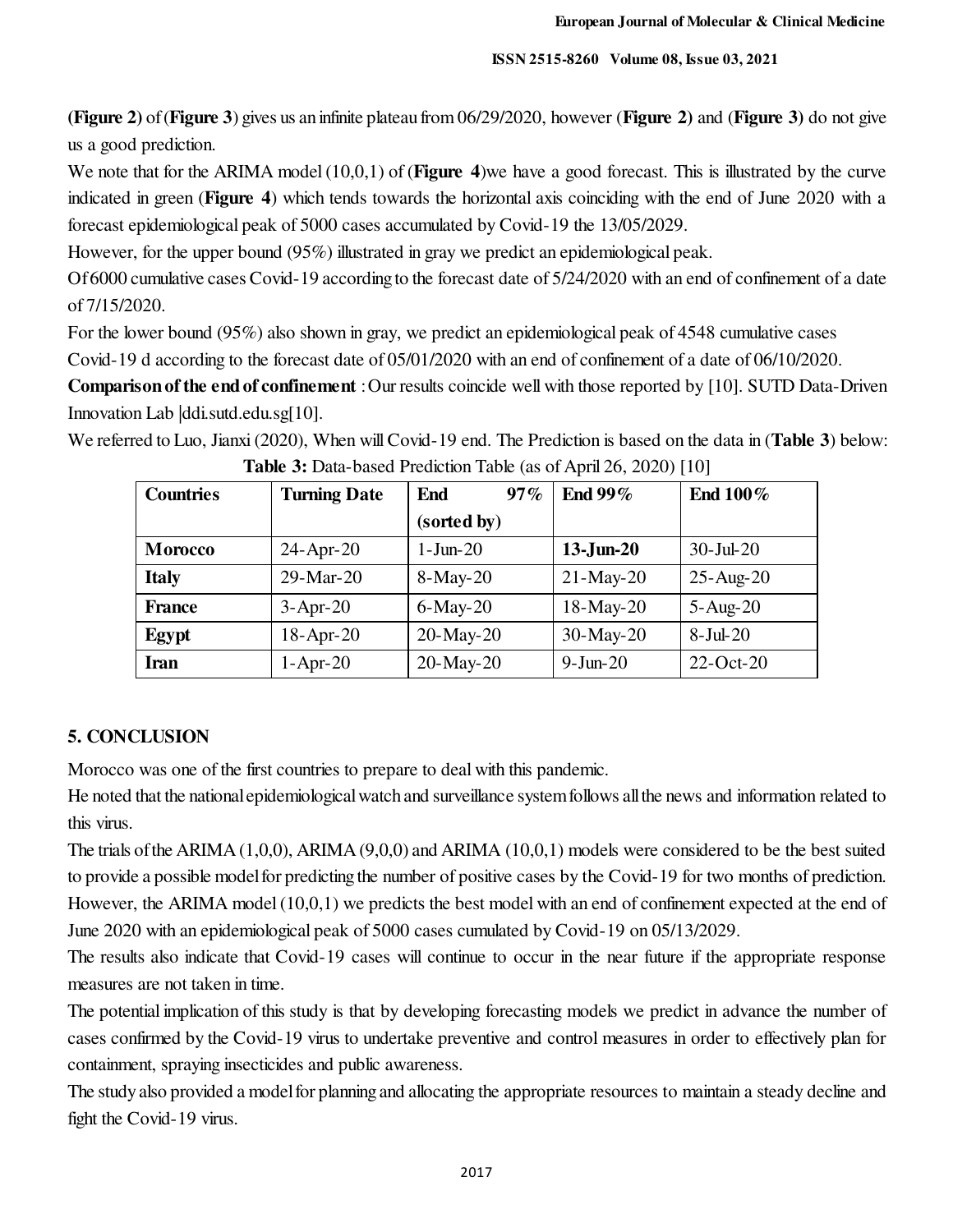**(Figure 2)** of (**Figure 3**) gives us an infinite plateau from 06/29/2020, however (**Figure 2)** and (**Figure 3)** do not give us a good prediction.

We note that for the ARIMA model (10,0,1) of (**Figure 4**)we have a good forecast. This is illustrated by the curve indicated in green (**Figure 4**) which tends towards the horizontal axis coinciding with the end of June 2020 with a forecast epidemiological peak of 5000 cases accumulated by Covid-19 the 13/05/2029.

However, for the upper bound (95%) illustrated in gray we predict an epidemiological peak.

Of 6000 cumulative cases Covid-19 according to the forecast date of 5/24/2020 with an end of confinement of a date of 7/15/2020.

For the lower bound (95%) also shown in gray, we predict an epidemiological peak of 4548 cumulative cases Covid-19 d according to the forecast date of 05/01/2020 with an end of confinement of a date of 06/10/2020.

**Comparison of the end of confinement** : Our results coincide well with those reported by [10]. SUTD Data-Driven Innovation Lab |ddi.sutd.edu.sg[10].

We referred to Luo, Jianxi (2020), When will Covid-19 end. The Prediction is based on the data in (**Table 3**) below:

| <b>Countries</b> | <b>Turning Date</b> | 97%<br>End     | End 99%      | End 100%        |
|------------------|---------------------|----------------|--------------|-----------------|
|                  |                     | (sorted by)    |              |                 |
| <b>Morocco</b>   | $24$ -Apr-20        | $1-J$ un- $20$ | $13$ -Jun-20 | $30$ -Jul-20    |
| <b>Italy</b>     | $29-Mar-20$         | 8-May-20       | $21-May-20$  | $25-Aug-20$     |
| <b>France</b>    | $3-Apr-20$          | $6$ -May-20    | $18-May-20$  | $5 - Aug-20$    |
| Egypt            | $18$ -Apr-20        | 20-May-20      | 30-May-20    | $8-Jul-20$      |
| Iran             | $1-Apr-20$          | 20-May-20      | $9-Jun-20$   | $22$ -Oct- $20$ |

**Table 3:** Data-based Prediction Table (as of April 26, 2020) [10]

## **5. CONCLUSION**

Morocco was one of the first countries to prepare to deal with this pandemic.

He noted that the national epidemiological watch and surveillance system follows all the news and information related to this virus.

The trials of the ARIMA (1,0,0), ARIMA (9,0,0) and ARIMA (10,0,1) models were considered to be the best suited to provide a possible model for predicting the number of positive cases by the Covid-19 for two months of prediction. However, the ARIMA model (10,0,1) we predicts the best model with an end of confinement expected at the end of June 2020 with an epidemiological peak of 5000 cases cumulated by Covid-19 on 05/13/2029.

The results also indicate that Covid-19 cases will continue to occur in the near future if the appropriate response measures are not taken in time.

The potential implication of this study is that by developing forecasting models we predict in advance the number of cases confirmed by the Covid-19 virus to undertake preventive and control measures in order to effectively plan for containment, spraying insecticides and public awareness.

The study also provided a model for planning and allocating the appropriate resources to maintain a steady decline and fight the Covid-19 virus.